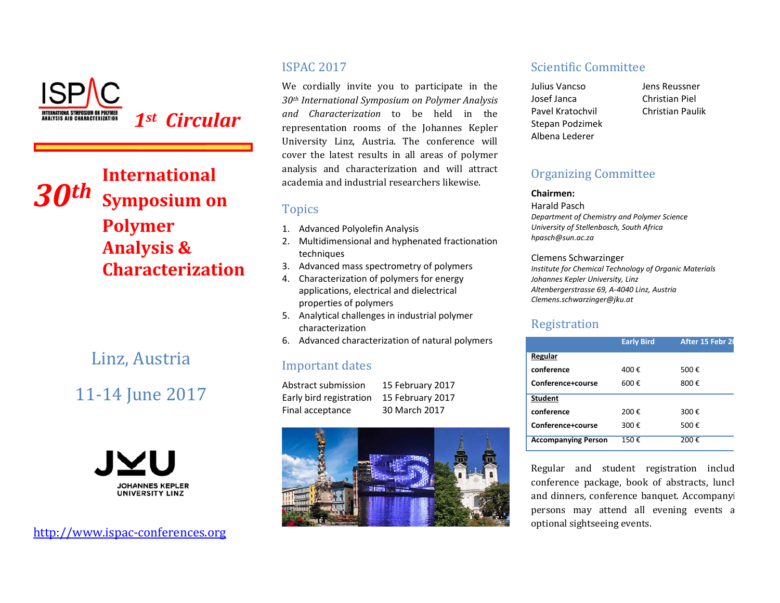

1st Circular

## **International**  $3$ *Oth* **Symposium on Polymer Analysis & Characterization**

## Linz, Austria

# 11-14 June 2017



http://www.ispac-conferences.org

### **ISPAC 2017**

We cordially invite you to participate in the 30th International Symposium on Polymer Analysis and Characterization to be held in the representation rooms of the Johannes Kepler University Linz, Austria. The conference will cover the latest results in all areas of polymer analysis and characterization and will attract academia and industrial researchers likewise.

### **Topics**

- 1. Advanced Polyolefin Analysis
- 2. Multidimensional and hyphenated fractionation techniques
- 3. Advanced mass spectrometry of polymers
- 4. Characterization of polymers for energy applications, electrical and dielectrical properties of polymers
- 5. Analytical challenges in industrial polymer characterization
- 6. Advanced characterization of natural polymers

### **Important dates**

Abstract submission Early bird registration Final acceptance

15 February 2017 15 February 2017 30 March 2017



### **Scientific Committee**

Julius Vancso losef lanca Pavel Kratochvil Stepan Podzimek Albena Lederer

Jens Reussner Christian Piel **Christian Paulik** 

### **Organizing Committee**

#### Chairmen:

**Harald Pasch** Department of Chemistry and Polymer Science University of Stellenbosch, South Africa

hpasch@sun.ac.za

#### **Clemens Schwarzinger**

Institute for Chemical Technology of Organic Materials Johannes Kepler University, Linz Altenbergerstrasse 69, A-4040 Linz, Austria Clemens.schwarzinger@jku.at

### Registration

|                            | <b>Early Bird</b> | After 15 Febr 20 |
|----------------------------|-------------------|------------------|
| Regular                    |                   |                  |
| conference                 | 400€              | 500€             |
| Conference+course          | 600€              | 800€             |
| <b>Student</b>             |                   |                  |
| conference                 | 200€              | 300€             |
| Conference+course          | 300€              | 500€             |
| <b>Accompanying Person</b> | 150€              | 200€             |

Regular and student registration includ conference package, book of abstracts, luncl and dinners, conference banquet. Accompanyi persons may attend all evening events a optional sightseeing events.